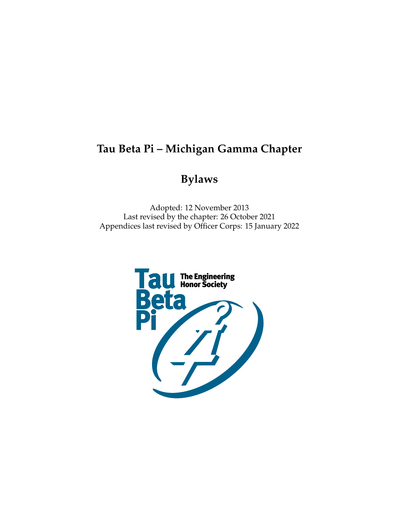# **Tau Beta Pi – Michigan Gamma Chapter**

## **Bylaws**

Adopted: 12 November 2013 Last revised by the chapter: 26 October 2021 Appendices last revised by Officer Corps: 15 January 2022

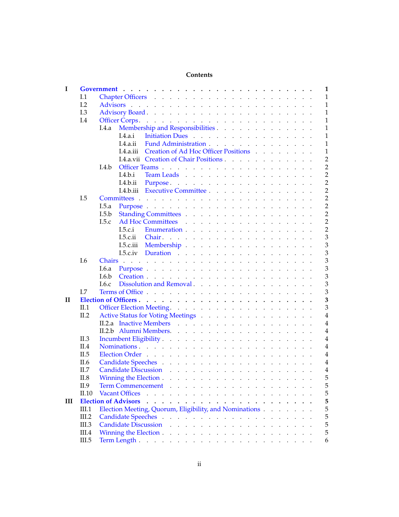### **Contents**

| I            |                | 1<br>Government<br>$\cdots$                                                                                                                                                                                                                                                                             |
|--------------|----------------|---------------------------------------------------------------------------------------------------------------------------------------------------------------------------------------------------------------------------------------------------------------------------------------------------------|
|              | I.1            | Chapter Officers<br>$\mathbf{1}$<br>$\mathbf{r}$ . The set of $\mathbf{r}$                                                                                                                                                                                                                              |
|              | L <sub>2</sub> |                                                                                                                                                                                                                                                                                                         |
|              |                | $\mathbf{1}$                                                                                                                                                                                                                                                                                            |
|              | I.3            | $\mathbf{1}$                                                                                                                                                                                                                                                                                            |
|              | I.4            | $\mathbf{1}$                                                                                                                                                                                                                                                                                            |
|              |                | Membership and Responsibilities<br>$\mathbf{1}$<br>I.4.a                                                                                                                                                                                                                                                |
|              |                | $\mathbf{1}$<br>I.4.a.i<br>Initiation Dues                                                                                                                                                                                                                                                              |
|              |                | Fund Administration<br>$\mathbf{1}$<br>I.4.a.ii                                                                                                                                                                                                                                                         |
|              |                | Creation of Ad Hoc Officer Positions<br>$\mathbf{1}$<br>I.4.a.iii                                                                                                                                                                                                                                       |
|              |                | $\overline{2}$<br>I.4.a.vii Creation of Chair Positions                                                                                                                                                                                                                                                 |
|              |                | $\overline{2}$<br>I.4.b                                                                                                                                                                                                                                                                                 |
|              |                | $\overline{2}$<br>I.4.b.i<br>Team Leads                                                                                                                                                                                                                                                                 |
|              |                | $\overline{2}$<br>I.4.b.ii<br>Purpose.                                                                                                                                                                                                                                                                  |
|              |                | $\overline{2}$<br>I.4.b.iii<br>Executive Committee.                                                                                                                                                                                                                                                     |
|              | I.5            | $\overline{2}$<br>Committees.                                                                                                                                                                                                                                                                           |
|              |                | $\overline{2}$<br>I.5.a                                                                                                                                                                                                                                                                                 |
|              |                | $\overline{2}$<br>Standing Committees<br>I.5.b                                                                                                                                                                                                                                                          |
|              |                | $\overline{2}$<br>I.5.c<br>Ad Hoc Committees                                                                                                                                                                                                                                                            |
|              |                | $\overline{2}$<br>I.5.c.i<br>Enumeration                                                                                                                                                                                                                                                                |
|              |                | 3<br>I.5.c.ii<br>Chair.                                                                                                                                                                                                                                                                                 |
|              |                | 3<br>I.5.c.iii<br>Membership                                                                                                                                                                                                                                                                            |
|              |                | 3<br>I.5.c.iv<br>Duration                                                                                                                                                                                                                                                                               |
|              | I.6            | 3<br>Chairs                                                                                                                                                                                                                                                                                             |
|              |                | <b>Contract Contract Contract Contract Contract Contract Contract Contract Contract Contract Contract Contract Contract Contract Contract Contract Contract Contract Contract Contract Contract Contract Contract Contract Contr</b><br>3                                                               |
|              |                | I.6.a<br>Purpose<br>and the contract of the contract of                                                                                                                                                                                                                                                 |
|              |                | 3<br>I.6.b<br>Creation<br>$\mathbf{r}$ . The contract of the contract of the contract of the contract of the contract of the contract of the contract of the contract of the contract of the contract of the contract of the contract of the contract of th                                             |
|              |                | 3<br>I.6.c<br>Dissolution and Removal.<br>and the contract of the contract of the contract of the contract of the contract of the contract of the contract of the contract of the contract of the contract of the contract of the contract of the contract of the contra                                |
|              | I.7            | 3<br>Terms of Office.<br>and a straightful contract and a straight<br>$\mathbf{r}$ . The contract of the contract of the contract of the contract of the contract of the contract of the contract of the contract of the contract of the contract of the contract of the contract of the contract of th |
| $\mathbf{H}$ |                | 3<br><b>Election of Officers.</b>                                                                                                                                                                                                                                                                       |
|              | II.1           | 3                                                                                                                                                                                                                                                                                                       |
|              | II.2           | $\overline{4}$                                                                                                                                                                                                                                                                                          |
|              |                | II.2.a Inactive Members<br>4                                                                                                                                                                                                                                                                            |
|              |                | 4                                                                                                                                                                                                                                                                                                       |
|              | II.3           | 4                                                                                                                                                                                                                                                                                                       |
|              | II.4           | $\overline{4}$                                                                                                                                                                                                                                                                                          |
|              | II.5           | $\overline{4}$                                                                                                                                                                                                                                                                                          |
|              | II.6           | 4                                                                                                                                                                                                                                                                                                       |
|              | II.7           | 4                                                                                                                                                                                                                                                                                                       |
|              | II.8           | 5                                                                                                                                                                                                                                                                                                       |
|              | II.9           | $\mathbf 5$                                                                                                                                                                                                                                                                                             |
|              | II.10          | 5<br><b>Vacant Offices</b><br>the contract of the contract of the contract of the contract of the contract of                                                                                                                                                                                           |
| Ш            |                | 5<br><b>Election of Advisors</b><br>a construction of the construction of the construction of the construction of the construction of the construction of the construction of the construction of the construction of the construction of the construction of the                                       |
|              | III.1          | 5<br>Election Meeting, Quorum, Eligibility, and Nominations                                                                                                                                                                                                                                             |
|              | III.2          | 5                                                                                                                                                                                                                                                                                                       |
|              | III.3          | 5                                                                                                                                                                                                                                                                                                       |
|              |                | 5                                                                                                                                                                                                                                                                                                       |
|              | III.4          |                                                                                                                                                                                                                                                                                                         |
|              | III.5          | 6                                                                                                                                                                                                                                                                                                       |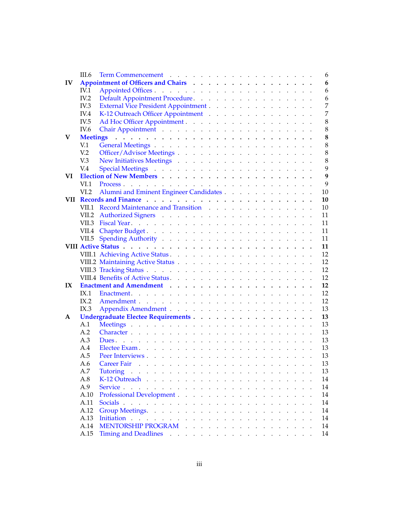|                         | III.6           |                                                                                                                                                                                                                                                  | 6              |
|-------------------------|-----------------|--------------------------------------------------------------------------------------------------------------------------------------------------------------------------------------------------------------------------------------------------|----------------|
| IV                      |                 | Appointment of Officers and Chairs                                                                                                                                                                                                               | $6\phantom{1}$ |
|                         | IV.1            |                                                                                                                                                                                                                                                  | 6              |
|                         | IV.2            |                                                                                                                                                                                                                                                  | 6              |
|                         | IV.3            |                                                                                                                                                                                                                                                  | $\overline{7}$ |
|                         | IV.4            | K-12 Outreach Officer Appointment                                                                                                                                                                                                                | $\overline{7}$ |
|                         | IV.5            |                                                                                                                                                                                                                                                  | 8              |
|                         | IV.6            | Chair Appointment<br>The Chair Appointment<br>The Chair Appointment<br>The Chair Appointment<br>The Chair Appointment<br>The Chair Appointment<br>The Chair Appointment<br>The Chair Appointment<br>The Chair Appointment<br>The Chair Appointme | 8              |
| v                       | <b>Meetings</b> | . The contract of the contract of the contract of the contract of the contract of the contract of the contract of the contract of the contract of the contract of the contract of the contract of the contract of the contrac                    | $\bf 8$        |
|                         | V <sub>1</sub>  |                                                                                                                                                                                                                                                  | 8              |
|                         | V <sub>12</sub> |                                                                                                                                                                                                                                                  | 8              |
|                         | V <sub>0</sub>  |                                                                                                                                                                                                                                                  | 8              |
|                         | V <sub>4</sub>  | Special Meetings (Alberta Alberta Alberta Alberta Alberta Alberta Alberta Alberta Alberta Alberta Alberta Alberta Alberta Alberta Alberta Alberta Alberta Alberta Alberta Alberta Alberta Alberta Alberta Alberta Alberta Albe                   | 9              |
| VI                      |                 |                                                                                                                                                                                                                                                  | 9              |
|                         | VL1             |                                                                                                                                                                                                                                                  | 9              |
|                         | VI.2            | Alumni and Eminent Engineer Candidates<br>10                                                                                                                                                                                                     |                |
|                         |                 | 10                                                                                                                                                                                                                                               |                |
|                         |                 | VII.1 Record Maintenance and Transition<br>10                                                                                                                                                                                                    |                |
|                         |                 | 11                                                                                                                                                                                                                                               |                |
|                         |                 | 11                                                                                                                                                                                                                                               |                |
|                         |                 | 11                                                                                                                                                                                                                                               |                |
|                         |                 | 11                                                                                                                                                                                                                                               |                |
|                         |                 | 11                                                                                                                                                                                                                                               |                |
|                         |                 | 12                                                                                                                                                                                                                                               |                |
|                         |                 | 12                                                                                                                                                                                                                                               |                |
|                         |                 | 12                                                                                                                                                                                                                                               |                |
|                         |                 | 12                                                                                                                                                                                                                                               |                |
| $\mathbf{I} \mathbf{X}$ |                 | 12                                                                                                                                                                                                                                               |                |
|                         | IX.1            | 12                                                                                                                                                                                                                                               |                |
|                         | IX.2            | 12                                                                                                                                                                                                                                               |                |
|                         | IX.3            | 13                                                                                                                                                                                                                                               |                |
| A                       |                 | Undergraduate Electee Requirements<br>13                                                                                                                                                                                                         |                |
|                         | A.1             | 13                                                                                                                                                                                                                                               |                |
|                         | A.2             | 13                                                                                                                                                                                                                                               |                |
|                         | A.3             | 13                                                                                                                                                                                                                                               |                |
|                         | A.4<br>A.5      | 13<br>13                                                                                                                                                                                                                                         |                |
|                         |                 | 13<br>A.6 Career Fair                                                                                                                                                                                                                            |                |
|                         | A.7             | 13                                                                                                                                                                                                                                               |                |
|                         | A.8             | 14                                                                                                                                                                                                                                               |                |
|                         | A.9             | 14                                                                                                                                                                                                                                               |                |
|                         | A.10            | 14                                                                                                                                                                                                                                               |                |
|                         | A.11            | 14                                                                                                                                                                                                                                               |                |
|                         | A.12            | 14                                                                                                                                                                                                                                               |                |
|                         | A.13            | 14                                                                                                                                                                                                                                               |                |
|                         | A.14            | 14                                                                                                                                                                                                                                               |                |
|                         | A.15            | 14                                                                                                                                                                                                                                               |                |
|                         |                 |                                                                                                                                                                                                                                                  |                |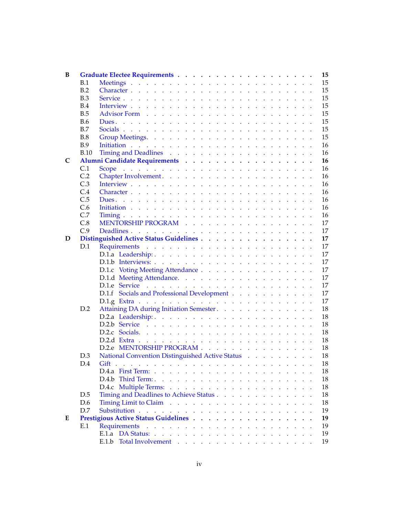| B |             | 15                                                                                                                                                                                                                                   |
|---|-------------|--------------------------------------------------------------------------------------------------------------------------------------------------------------------------------------------------------------------------------------|
|   |             | Graduate Electee Requirements<br>B.1 Meetings<br>15                                                                                                                                                                                  |
|   | B.2         | 15                                                                                                                                                                                                                                   |
|   | B.3         | 15                                                                                                                                                                                                                                   |
|   | B.4         | 15                                                                                                                                                                                                                                   |
|   | B.5         | 15                                                                                                                                                                                                                                   |
|   | <b>B.6</b>  | 15                                                                                                                                                                                                                                   |
|   | B.7         | 15                                                                                                                                                                                                                                   |
|   | B.8         | 15                                                                                                                                                                                                                                   |
|   | <b>B.9</b>  | 16                                                                                                                                                                                                                                   |
|   | <b>B.10</b> | Timing and Deadlines and Library and Library and Library and Library and Library and Library and Library and Library and Library and Library and Library and Library and Library and Library and Library and Library and Libra<br>16 |
| C |             | 16                                                                                                                                                                                                                                   |
|   | C.1         | Scope distribution of the state of the state of the state of the state of the state of the state of the state of the state of the state of the state of the state of the state of the state of the state of the state of the s<br>16 |
|   | C.2         | Chapter Involvement.<br>16                                                                                                                                                                                                           |
|   | C.3         | 16                                                                                                                                                                                                                                   |
|   | C.4         | 16                                                                                                                                                                                                                                   |
|   | C.5         | 16                                                                                                                                                                                                                                   |
|   | C.6         | 16                                                                                                                                                                                                                                   |
|   | C.7         | 16                                                                                                                                                                                                                                   |
|   | C.8         | MENTORSHIP PROGRAM<br>17                                                                                                                                                                                                             |
|   | C.9         | 17                                                                                                                                                                                                                                   |
| D |             | Distinguished Active Status Guidelines<br>17                                                                                                                                                                                         |
|   | D.1         | 17                                                                                                                                                                                                                                   |
|   |             | 17                                                                                                                                                                                                                                   |
|   |             | 17                                                                                                                                                                                                                                   |
|   |             | 17                                                                                                                                                                                                                                   |
|   |             | D.1.c Voting Meeting Attendance<br>D.1.d Meeting Attendance.<br>17                                                                                                                                                                   |
|   |             | 17                                                                                                                                                                                                                                   |
|   |             | 17                                                                                                                                                                                                                                   |
|   |             | D.1.f Socials and Professional Development<br>17                                                                                                                                                                                     |
|   |             | 18                                                                                                                                                                                                                                   |
|   | D.2         | Attaining DA during Initiation Semester.                                                                                                                                                                                             |
|   |             | 18                                                                                                                                                                                                                                   |
|   |             | 18                                                                                                                                                                                                                                   |
|   |             | 18                                                                                                                                                                                                                                   |
|   |             | 18                                                                                                                                                                                                                                   |
|   |             | D.2.e MENTORSHIP PROGRAM<br>18                                                                                                                                                                                                       |
|   | D.3         | National Convention Distinguished Active Status<br>18                                                                                                                                                                                |
|   | D.4         | 18<br>Gift                                                                                                                                                                                                                           |
|   |             | 18                                                                                                                                                                                                                                   |
|   |             | 18                                                                                                                                                                                                                                   |
|   |             | 18                                                                                                                                                                                                                                   |
|   | D.5         | Timing and Deadlines to Achieve Status<br>18                                                                                                                                                                                         |
|   | D.6         | 18                                                                                                                                                                                                                                   |
|   | D.7         | 19                                                                                                                                                                                                                                   |
| E |             | Prestigious Active Status Guidelines<br>19                                                                                                                                                                                           |
|   | E.1         | 19                                                                                                                                                                                                                                   |
|   |             | 19                                                                                                                                                                                                                                   |
|   |             | 19                                                                                                                                                                                                                                   |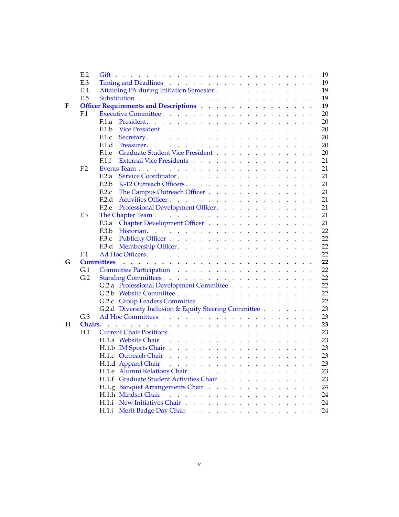|   | E.2             | 19                                                          |
|---|-----------------|-------------------------------------------------------------|
|   | E.3             | 19                                                          |
|   | E.4             | Attaining PA during Initiation Semester<br>19               |
|   | E.5             | 19                                                          |
| F |                 | Officer Requirements and Descriptions<br>19                 |
|   | F <sub>1</sub>  | 20                                                          |
|   |                 | 20                                                          |
|   |                 | 20                                                          |
|   |                 | F.1.c<br>20                                                 |
|   |                 | F.1.d<br>20                                                 |
|   |                 | Graduate Student Vice President<br>20<br>F.1.e              |
|   |                 | F.1.f<br>21                                                 |
|   | E <sub>12</sub> | 21                                                          |
|   |                 | 21<br>F.2.a<br>Service Coordinator.                         |
|   |                 | F.2.b K-12 Outreach Officers.<br>21                         |
|   |                 | The Campus Outreach Officer<br>F.2.c<br>21                  |
|   |                 | 21                                                          |
|   |                 | F.2.e Professional Development Officer.<br>21               |
|   | F <sub>.3</sub> | 21                                                          |
|   |                 | 21<br>F.3.a                                                 |
|   |                 | 22                                                          |
|   |                 | 22                                                          |
|   |                 | F.3.d Membership Officer.<br>22                             |
|   | F <sub>4</sub>  | 22                                                          |
| G |                 | 22                                                          |
|   | G.1             | 22                                                          |
|   | G.2             | 22                                                          |
|   |                 | 22<br>G.2.a Professional Development Committee              |
|   |                 | 22                                                          |
|   |                 | G.2.c Group Leaders Committee<br>22                         |
|   |                 | 23<br>G.2.d Diversity Inclusion & Equity Steering Committee |
|   | G.3             | 23                                                          |
| H | Chairs. .       | 23                                                          |
|   | H.1             | 23                                                          |
|   |                 | 23                                                          |
|   |                 | 23                                                          |
|   |                 | 23                                                          |
|   |                 | 23                                                          |
|   |                 | H.1.e Alumni Relations Chair<br>23                          |
|   |                 | H.1.f Graduate Student Activities Chair<br>23               |
|   |                 | 24                                                          |
|   |                 | 24                                                          |
|   |                 | H.1.i New Initiatives Chair<br>24                           |
|   |                 | 24                                                          |
|   |                 |                                                             |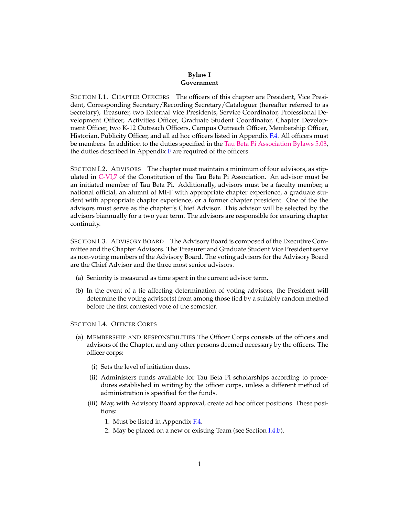### **Bylaw I Government**

<span id="page-5-1"></span><span id="page-5-0"></span>SECTION I.1. CHAPTER OFFICERS The officers of this chapter are President, Vice President, Corresponding Secretary/Recording Secretary/Cataloguer (hereafter referred to as Secretary), Treasurer, two External Vice Presidents, Service Coordinator, Professional Development Officer, Activities Officer, Graduate Student Coordinator, Chapter Development Officer, two K-12 Outreach Officers, Campus Outreach Officer, Membership Officer, Historian, Publicity Officer, and all ad hoc officers listed in Appendix [F.4.](#page-26-3) All officers must be members. In addition to the duties specified in the [Tau Beta Pi Association Bylaws 5.03,](http://www.tbp.org/off/ConstBylaw.pdf) the duties described in Appendix  $\overline{F}$  $\overline{F}$  $\overline{F}$  are required of the officers.

<span id="page-5-2"></span>SECTION I.2. ADVISORS The chapter must maintain a minimum of four advisors, as stipulated in [C-VI,7](http://www.tbp.org/off/ConstBylaw.pdf) of the Constitution of the Tau Beta Pi Association. An advisor must be an initiated member of Tau Beta Pi. Additionally, advisors must be a faculty member, a national official, an alumni of MI-Γ with appropriate chapter experience, a graduate student with appropriate chapter experience, or a former chapter president. One of the the advisors must serve as the chapter's Chief Advisor. This advisor will be selected by the advisors biannually for a two year term. The advisors are responsible for ensuring chapter continuity.

<span id="page-5-3"></span>SECTION I.3. ADVISORY BOARD The Advisory Board is composed of the Executive Committee and the Chapter Advisors. The Treasurer and Graduate Student Vice President serve as non-voting members of the Advisory Board. The voting advisors for the Advisory Board are the Chief Advisor and the three most senior advisors.

- (a) Seniority is measured as time spent in the current advisor term.
- (b) In the event of a tie affecting determination of voting advisors, the President will determine the voting advisor(s) from among those tied by a suitably random method before the first contested vote of the semester.

<span id="page-5-4"></span>SECTION I.4. OFFICER CORPS

- <span id="page-5-8"></span><span id="page-5-7"></span><span id="page-5-6"></span><span id="page-5-5"></span>(a) MEMBERSHIP AND RESPONSIBILITIES The Officer Corps consists of the officers and advisors of the Chapter, and any other persons deemed necessary by the officers. The officer corps:
	- (i) Sets the level of initiation dues.
	- (ii) Administers funds available for Tau Beta Pi scholarships according to procedures established in writing by the officer corps, unless a different method of administration is specified for the funds.
	- (iii) May, with Advisory Board approval, create ad hoc officer positions. These positions:
		- 1. Must be listed in Appendix [F.4.](#page-26-3)
		- 2. May be placed on a new or existing Team (see Section [I.4.b\)](#page-6-1).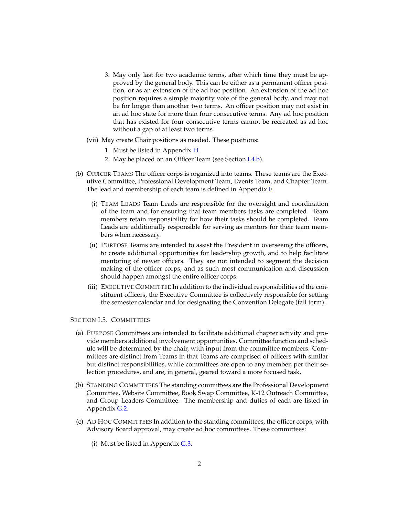- 3. May only last for two academic terms, after which time they must be approved by the general body. This can be either as a permanent officer position, or as an extension of the ad hoc position. An extension of the ad hoc position requires a simple majority vote of the general body, and may not be for longer than another two terms. An officer position may not exist in an ad hoc state for more than four consecutive terms. Any ad hoc position that has existed for four consecutive terms cannot be recreated as ad hoc without a gap of at least two terms.
- <span id="page-6-0"></span>(vii) May create Chair positions as needed. These positions:
	- 1. Must be listed in Appendix [H.](#page-27-2)
	- 2. May be placed on an Officer Team (see Section [I.4.b\)](#page-6-1).
- <span id="page-6-3"></span><span id="page-6-2"></span><span id="page-6-1"></span>(b) OFFICER TEAMS The officer corps is organized into teams. These teams are the Executive Committee, Professional Development Team, Events Team, and Chapter Team. The lead and membership of each team is defined in Appendix [F.](#page-23-8)
	- (i) TEAM LEADS Team Leads are responsible for the oversight and coordination of the team and for ensuring that team members tasks are completed. Team members retain responsibility for how their tasks should be completed. Team Leads are additionally responsible for serving as mentors for their team members when necessary.
	- (ii) PURPOSE Teams are intended to assist the President in overseeing the officers, to create additional opportunities for leadership growth, and to help facilitate mentoring of newer officers. They are not intended to segment the decision making of the officer corps, and as such most communication and discussion should happen amongst the entire officer corps.
	- (iii) EXECUTIVE COMMITTEE In addition to the individual responsibilities of the constituent officers, the Executive Committee is collectively responsible for setting the semester calendar and for designating the Convention Delegate (fall term).

### <span id="page-6-5"></span><span id="page-6-4"></span>SECTION I.5. COMMITTEES

- <span id="page-6-6"></span>(a) PURPOSE Committees are intended to facilitate additional chapter activity and provide members additional involvement opportunities. Committee function and schedule will be determined by the chair, with input from the committee members. Committees are distinct from Teams in that Teams are comprised of officers with similar but distinct responsibilities, while committees are open to any member, per their selection procedures, and are, in general, geared toward a more focused task.
- <span id="page-6-7"></span>(b) STANDING COMMITTEES The standing committees are the Professional Development Committee, Website Committee, Book Swap Committee, K-12 Outreach Committee, and Group Leaders Committee. The membership and duties of each are listed in Appendix [G.2.](#page-26-6)
- <span id="page-6-9"></span><span id="page-6-8"></span>(c) AD HOC COMMITTEES In addition to the standing committees, the officer corps, with Advisory Board approval, may create ad hoc committees. These committees:
	- (i) Must be listed in Appendix  $G.3$ .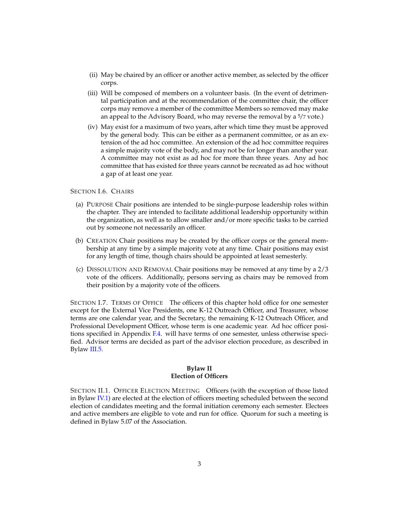- <span id="page-7-0"></span>(ii) May be chaired by an officer or another active member, as selected by the officer corps.
- <span id="page-7-1"></span>(iii) Will be composed of members on a volunteer basis. (In the event of detrimental participation and at the recommendation of the committee chair, the officer corps may remove a member of the committee Members so removed may make an appeal to the Advisory Board, who may reverse the removal by a  $\frac{5}{7}$  vote.)
- <span id="page-7-2"></span>(iv) May exist for a maximum of two years, after which time they must be approved by the general body. This can be either as a permanent committee, or as an extension of the ad hoc committee. An extension of the ad hoc committee requires a simple majority vote of the body, and may not be for longer than another year. A committee may not exist as ad hoc for more than three years. Any ad hoc committee that has existed for three years cannot be recreated as ad hoc without a gap of at least one year.

#### <span id="page-7-3"></span>SECTION I.6. CHAIRS

- <span id="page-7-4"></span>(a) PURPOSE Chair positions are intended to be single-purpose leadership roles within the chapter. They are intended to facilitate additional leadership opportunity within the organization, as well as to allow smaller and/or more specific tasks to be carried out by someone not necessarily an officer.
- <span id="page-7-5"></span>(b) CREATION Chair positions may be created by the officer corps or the general membership at any time by a simple majority vote at any time. Chair positions may exist for any length of time, though chairs should be appointed at least semesterly.
- <span id="page-7-6"></span>(c) DISSOLUTION AND REMOVAL Chair positions may be removed at any time by a 2/3 vote of the officers. Additionally, persons serving as chairs may be removed from their position by a majority vote of the officers.

<span id="page-7-7"></span>SECTION I.7. TERMS OF OFFICE The officers of this chapter hold office for one semester except for the External Vice Presidents, one K-12 Outreach Officer, and Treasurer, whose terms are one calendar year, and the Secretary, the remaining K-12 Outreach Officer, and Professional Development Officer, whose term is one academic year. Ad hoc officer positions specified in Appendix [F.4.](#page-26-3) will have terms of one semester, unless otherwise specified. Advisor terms are decided as part of the advisor election procedure, as described in Bylaw [III.5.](#page-9-7)

### **Bylaw II Election of Officers**

<span id="page-7-10"></span><span id="page-7-9"></span><span id="page-7-8"></span>SECTION II.1. OFFICER ELECTION MEETING Officers (with the exception of those listed in Bylaw [IV.1\)](#page-10-2) are elected at the election of officers meeting scheduled between the second election of candidates meeting and the formal initiation ceremony each semester. Electees and active members are eligible to vote and run for office. Quorum for such a meeting is defined in Bylaw 5.07 of the Association.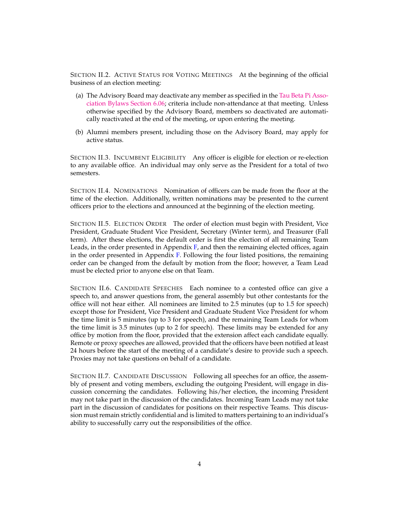SECTION II.2. ACTIVE STATUS FOR VOTING MEETINGS At the beginning of the official business of an election meeting:

- <span id="page-8-0"></span>(a) The Advisory Board may deactivate any member as specified in the [Tau Beta Pi Asso](http://www.tbp.org/off/ConstBylaw.pdf)[ciation Bylaws Section 6.06;](http://www.tbp.org/off/ConstBylaw.pdf) criteria include non-attendance at that meeting. Unless otherwise specified by the Advisory Board, members so deactivated are automatically reactivated at the end of the meeting, or upon entering the meeting.
- <span id="page-8-1"></span>(b) Alumni members present, including those on the Advisory Board, may apply for active status.

<span id="page-8-2"></span>SECTION II.3. INCUMBENT ELIGIBILITY Any officer is eligible for election or re-election to any available office. An individual may only serve as the President for a total of two semesters.

<span id="page-8-3"></span>SECTION II.4. NOMINATIONS Nomination of officers can be made from the floor at the time of the election. Additionally, written nominations may be presented to the current officers prior to the elections and announced at the beginning of the election meeting.

<span id="page-8-4"></span>SECTION II.5. ELECTION ORDER The order of election must begin with President, Vice President, Graduate Student Vice President, Secretary (Winter term), and Treasurer (Fall term). After these elections, the default order is first the election of all remaining Team Leads, in the order presented in Appendix  $F$ , and then the remaining elected offices, again in the order presented in Appendix [F.](#page-23-8) Following the four listed positions, the remaining order can be changed from the default by motion from the floor; however, a Team Lead must be elected prior to anyone else on that Team.

<span id="page-8-5"></span>SECTION II.6. CANDIDATE SPEECHES Each nominee to a contested office can give a speech to, and answer questions from, the general assembly but other contestants for the office will not hear either. All nominees are limited to 2.5 minutes (up to 1.5 for speech) except those for President, Vice President and Graduate Student Vice President for whom the time limit is 5 minutes (up to 3 for speech), and the remaining Team Leads for whom the time limit is 3.5 minutes (up to 2 for speech). These limits may be extended for any office by motion from the floor, provided that the extension affect each candidate equally. Remote or proxy speeches are allowed, provided that the officers have been notified at least 24 hours before the start of the meeting of a candidate's desire to provide such a speech. Proxies may not take questions on behalf of a candidate.

<span id="page-8-7"></span><span id="page-8-6"></span>SECTION II.7. CANDIDATE DISCUSSION Following all speeches for an office, the assembly of present and voting members, excluding the outgoing President, will engage in discussion concerning the candidates. Following his/her election, the incoming President may not take part in the discussion of the candidates. Incoming Team Leads may not take part in the discussion of candidates for positions on their respective Teams. This discussion must remain strictly confidential and is limited to matters pertaining to an individual's ability to successfully carry out the responsibilities of the office.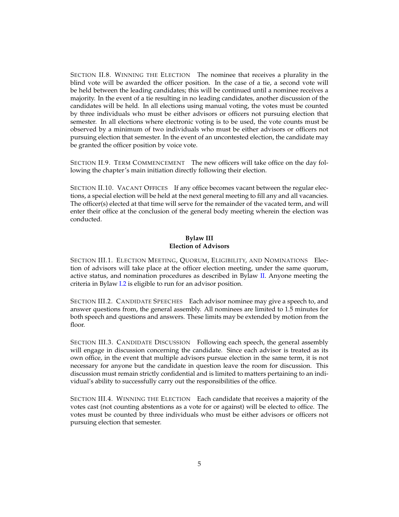SECTION II.8. WINNING THE ELECTION The nominee that receives a plurality in the blind vote will be awarded the officer position. In the case of a tie, a second vote will be held between the leading candidates; this will be continued until a nominee receives a majority. In the event of a tie resulting in no leading candidates, another discussion of the candidates will be held. In all elections using manual voting, the votes must be counted by three individuals who must be either advisors or officers not pursuing election that semester. In all elections where electronic voting is to be used, the vote counts must be observed by a minimum of two individuals who must be either advisors or officers not pursuing election that semester. In the event of an uncontested election, the candidate may be granted the officer position by voice vote.

<span id="page-9-0"></span>SECTION II.9. TERM COMMENCEMENT The new officers will take office on the day following the chapter's main initiation directly following their election.

<span id="page-9-2"></span><span id="page-9-1"></span>SECTION II.10. VACANT OFFICES If any office becomes vacant between the regular elections, a special election will be held at the next general meeting to fill any and all vacancies. The officer(s) elected at that time will serve for the remainder of the vacated term, and will enter their office at the conclusion of the general body meeting wherein the election was conducted.

### **Bylaw III Election of Advisors**

<span id="page-9-3"></span>SECTION III.1. ELECTION MEETING, QUORUM, ELIGIBILITY, AND NOMINATIONS Election of advisors will take place at the officer election meeting, under the same quorum, active status, and nomination procedures as described in Bylaw [II.](#page-7-8) Anyone meeting the criteria in Bylaw [I.2](#page-5-2) is eligible to run for an advisor position.

<span id="page-9-4"></span>SECTION III.2. CANDIDATE SPEECHES Each advisor nominee may give a speech to, and answer questions from, the general assembly. All nominees are limited to 1.5 minutes for both speech and questions and answers. These limits may be extended by motion from the floor.

<span id="page-9-5"></span>SECTION III.3. CANDIDATE DISCUSSION Following each speech, the general assembly will engage in discussion concerning the candidate. Since each advisor is treated as its own office, in the event that multiple advisors pursue election in the same term, it is not necessary for anyone but the candidate in question leave the room for discussion. This discussion must remain strictly confidential and is limited to matters pertaining to an individual's ability to successfully carry out the responsibilities of the office.

<span id="page-9-7"></span><span id="page-9-6"></span>SECTION III.4. WINNING THE ELECTION Each candidate that receives a majority of the votes cast (not counting abstentions as a vote for or against) will be elected to office. The votes must be counted by three individuals who must be either advisors or officers not pursuing election that semester.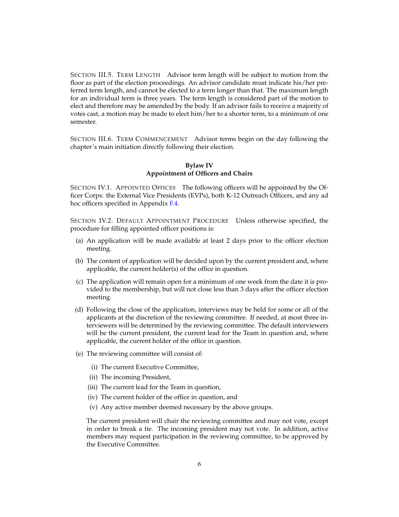SECTION III.5. TERM LENGTH Advisor term length will be subject to motion from the floor as part of the election proceedings. An advisor candidate must indicate his/her preferred term length, and cannot be elected to a term longer than that. The maximum length for an individual term is three years. The term length is considered part of the motion to elect and therefore may be amended by the body. If an advisor fails to receive a majority of votes cast, a motion may be made to elect him/her to a shorter term, to a minimum of one semester.

<span id="page-10-1"></span><span id="page-10-0"></span>SECTION III.6. TERM COMMENCEMENT Advisor terms begin on the day following the chapter's main initiation directly following their election.

### **Bylaw IV Appointment of Officers and Chairs**

<span id="page-10-2"></span>SECTION IV.1. APPOINTED OFFICES The following officers will be appointed by the Officer Corps: the External Vice Presidents (EVPs), both K-12 Outreach Officers, and any ad hoc officers specified in Appendix [F.4.](#page-26-3)

<span id="page-10-3"></span>SECTION IV.2. DEFAULT APPOINTMENT PROCEDURE Unless otherwise specified, the procedure for filling appointed officer positions is:

- (a) An application will be made available at least 2 days prior to the officer election meeting.
- (b) The content of application will be decided upon by the current president and, where applicable, the current holder(s) of the office in question.
- (c) The application will remain open for a minimum of one week from the date it is provided to the membership, but will not close less than 3 days after the officer election meeting.
- (d) Following the close of the application, interviews may be held for some or all of the applicants at the discretion of the reviewing committee. If needed, at most three interviewers will be determined by the reviewing committee. The default interviewers will be the current president, the current lead for the Team in question and, where applicable, the current holder of the office in question.
- <span id="page-10-4"></span>(e) The reviewing committee will consist of:
	- (i) The current Executive Committee,
	- (ii) The incoming President,
	- (iii) The current lead for the Team in question,
	- (iv) The current holder of the office in question, and
	- (v) Any active member deemed necessary by the above groups.

The current president will chair the reviewing committee and may not vote, except in order to break a tie. The incoming president may not vote. In addition, active members may request participation in the reviewing committee, to be approved by the Executive Committee.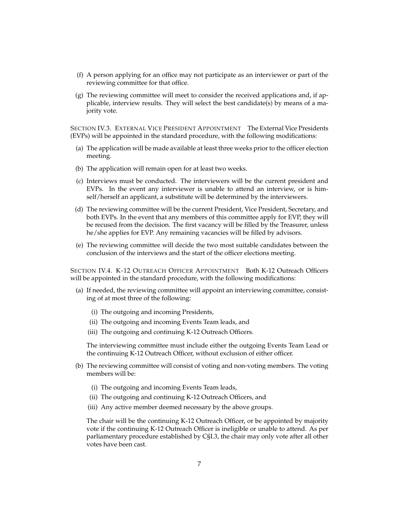- <span id="page-11-2"></span>(f) A person applying for an office may not participate as an interviewer or part of the reviewing committee for that office.
- (g) The reviewing committee will meet to consider the received applications and, if applicable, interview results. They will select the best candidate(s) by means of a majority vote.

<span id="page-11-0"></span>SECTION IV.3. EXTERNAL VICE PRESIDENT APPOINTMENT The External Vice Presidents (EVPs) will be appointed in the standard procedure, with the following modifications:

- (a) The application will be made available at least three weeks prior to the officer election meeting.
- (b) The application will remain open for at least two weeks.
- (c) Interviews must be conducted. The interviewers will be the current president and EVPs. In the event any interviewer is unable to attend an interview, or is himself/herself an applicant, a substitute will be determined by the interviewers.
- (d) The reviewing committee will be the current President, Vice President, Secretary, and both EVPs. In the event that any members of this committee apply for EVP, they will be recused from the decision. The first vacancy will be filled by the Treasurer, unless he/she applies for EVP. Any remaining vacancies will be filled by advisors.
- (e) The reviewing committee will decide the two most suitable candidates between the conclusion of the interviews and the start of the officer elections meeting.

<span id="page-11-1"></span>SECTION IV.4. K-12 OUTREACH OFFICER APPOINTMENT Both K-12 Outreach Officers will be appointed in the standard procedure, with the following modifications:

- (a) If needed, the reviewing committee will appoint an interviewing committee, consisting of at most three of the following:
	- (i) The outgoing and incoming Presidents,
	- (ii) The outgoing and incoming Events Team leads, and
	- (iii) The outgoing and continuing K-12 Outreach Officers.

The interviewing committee must include either the outgoing Events Team Lead or the continuing K-12 Outreach Officer, without exclusion of either officer.

- (b) The reviewing committee will consist of voting and non-voting members. The voting members will be:
	- (i) The outgoing and incoming Events Team leads,
	- (ii) The outgoing and continuing K-12 Outreach Officers, and
	- (iii) Any active member deemed necessary by the above groups.

The chair will be the continuing K-12 Outreach Officer, or be appointed by majority vote if the continuing K-12 Outreach Officer is ineligible or unable to attend. As per parliamentary procedure established by C§I.3, the chair may only vote after all other votes have been cast.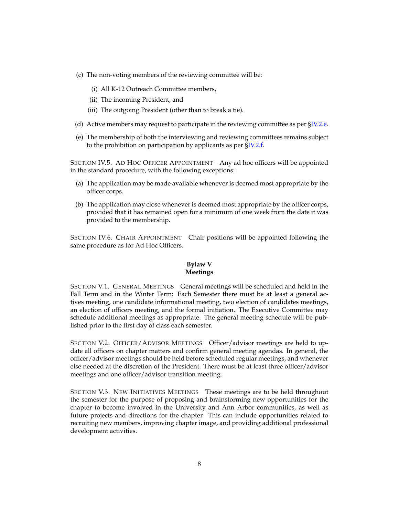- (c) The non-voting members of the reviewing committee will be:
	- (i) All K-12 Outreach Committee members,
	- (ii) The incoming President, and
	- (iii) The outgoing President (other than to break a tie).
- (d) Active members may request to participate in the reviewing committee as per [§IV.2.e.](#page-10-4)
- (e) The membership of both the interviewing and reviewing committees remains subject to the prohibition on participation by applicants as per [§IV.2.f.](#page-11-2)

<span id="page-12-0"></span>SECTION IV.5. AD HOC OFFICER APPOINTMENT Any ad hoc officers will be appointed in the standard procedure, with the following exceptions:

- (a) The application may be made available whenever is deemed most appropriate by the officer corps.
- (b) The application may close whenever is deemed most appropriate by the officer corps, provided that it has remained open for a minimum of one week from the date it was provided to the membership.

<span id="page-12-2"></span><span id="page-12-1"></span>SECTION IV.6. CHAIR APPOINTMENT Chair positions will be appointed following the same procedure as for Ad Hoc Officers.

### **Bylaw V Meetings**

<span id="page-12-3"></span>SECTION V.1. GENERAL MEETINGS General meetings will be scheduled and held in the Fall Term and in the Winter Term: Each Semester there must be at least a general actives meeting, one candidate informational meeting, two election of candidates meetings, an election of officers meeting, and the formal initiation. The Executive Committee may schedule additional meetings as appropriate. The general meeting schedule will be published prior to the first day of class each semester.

<span id="page-12-4"></span>SECTION V.2. OFFICER/ADVISOR MEETINGS Officer/advisor meetings are held to update all officers on chapter matters and confirm general meeting agendas. In general, the officer/advisor meetings should be held before scheduled regular meetings, and whenever else needed at the discretion of the President. There must be at least three officer/advisor meetings and one officer/advisor transition meeting.

<span id="page-12-6"></span><span id="page-12-5"></span>SECTION V.3. NEW INITIATIVES MEETINGS These meetings are to be held throughout the semester for the purpose of proposing and brainstorming new opportunities for the chapter to become involved in the University and Ann Arbor communities, as well as future projects and directions for the chapter. This can include opportunities related to recruiting new members, improving chapter image, and providing additional professional development activities.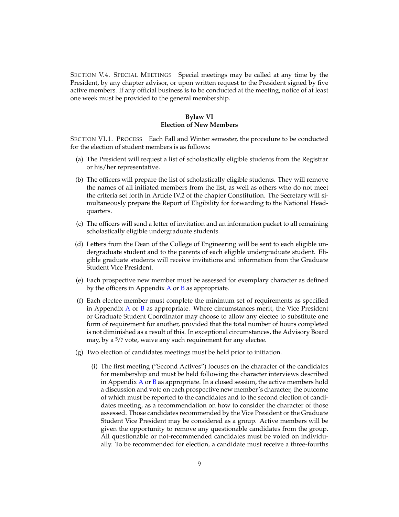<span id="page-13-0"></span>SECTION V.4. SPECIAL MEETINGS Special meetings may be called at any time by the President, by any chapter advisor, or upon written request to the President signed by five active members. If any official business is to be conducted at the meeting, notice of at least one week must be provided to the general membership.

### **Bylaw VI Election of New Members**

<span id="page-13-1"></span>SECTION VI.1. PROCESS Each Fall and Winter semester, the procedure to be conducted for the election of student members is as follows:

- (a) The President will request a list of scholastically eligible students from the Registrar or his/her representative.
- (b) The officers will prepare the list of scholastically eligible students. They will remove the names of all initiated members from the list, as well as others who do not meet the criteria set forth in Article IV.2 of the chapter Constitution. The Secretary will simultaneously prepare the Report of Eligibility for forwarding to the National Headquarters.
- (c) The officers will send a letter of invitation and an information packet to all remaining scholastically eligible undergraduate students.
- (d) Letters from the Dean of the College of Engineering will be sent to each eligible undergraduate student and to the parents of each eligible undergraduate student. Eligible graduate students will receive invitations and information from the Graduate Student Vice President.
- (e) Each prospective new member must be assessed for exemplary character as defined by the officers in [A](#page-17-0)ppendix  $\overline{A}$  or  $\overline{B}$  $\overline{B}$  $\overline{B}$  as appropriate.
- (f) Each electee member must complete the minimum set of requirements as specified in [A](#page-17-0)ppendix  $A$  or  $B$  as appropriate. Where circumstances merit, the Vice President or Graduate Student Coordinator may choose to allow any electee to substitute one form of requirement for another, provided that the total number of hours completed is not diminished as a result of this. In exceptional circumstances, the Advisory Board may, by a 5/7 vote, waive any such requirement for any electee.
- (g) Two election of candidates meetings must be held prior to initiation.
	- (i) The first meeting ("Second Actives") focuses on the character of the candidates for membership and must be held following the character interviews described in [A](#page-17-0)ppendix  $\overline{A}$  or  $\overline{B}$  $\overline{B}$  $\overline{B}$  as appropriate. In a closed session, the active members hold a discussion and vote on each prospective new member's character, the outcome of which must be reported to the candidates and to the second election of candidates meeting, as a recommendation on how to consider the character of those assessed. Those candidates recommended by the Vice President or the Graduate Student Vice President may be considered as a group. Active members will be given the opportunity to remove any questionable candidates from the group. All questionable or not-recommended candidates must be voted on individually. To be recommended for election, a candidate must receive a three-fourths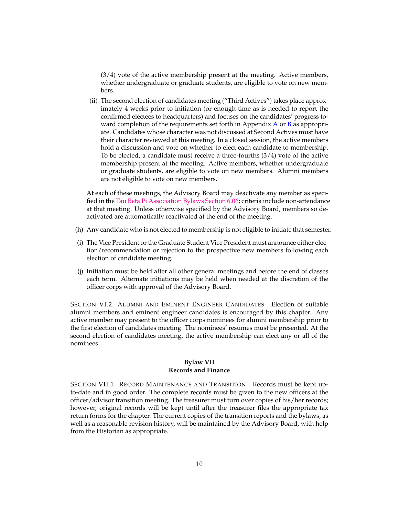$(3/4)$  vote of the active membership present at the meeting. Active members, whether undergraduate or graduate students, are eligible to vote on new members.

(ii) The second election of candidates meeting ("Third Actives") takes place approximately 4 weeks prior to initiation (or enough time as is needed to report the confirmed electees to headquarters) and focuses on the candidates' progress toward completion of the requirements set forth in Appendix [A](#page-17-0) or [B](#page-18-7) as appropriate. Candidates whose character was not discussed at Second Actives must have their character reviewed at this meeting. In a closed session, the active members hold a discussion and vote on whether to elect each candidate to membership. To be elected, a candidate must receive a three-fourths (3/4) vote of the active membership present at the meeting. Active members, whether undergraduate or graduate students, are eligible to vote on new members. Alumni members are not eligible to vote on new members.

At each of these meetings, the Advisory Board may deactivate any member as specified in the [Tau Beta Pi Association Bylaws Section 6.06;](http://www.tbp.org/off/ConstBylaw.pdf) criteria include non-attendance at that meeting. Unless otherwise specified by the Advisory Board, members so deactivated are automatically reactivated at the end of the meeting.

- (h) Any candidate who is not elected to membership is not eligible to initiate that semester.
- (i) The Vice President or the Graduate Student Vice President must announce either election/recommendation or rejection to the prospective new members following each election of candidate meeting.
- (j) Initiation must be held after all other general meetings and before the end of classes each term. Alternate initiations may be held when needed at the discretion of the officer corps with approval of the Advisory Board.

<span id="page-14-0"></span>SECTION VI.2. ALUMNI AND EMINENT ENGINEER CANDIDATES Election of suitable alumni members and eminent engineer candidates is encouraged by this chapter. Any active member may present to the officer corps nominees for alumni membership prior to the first election of candidates meeting. The nominees' resumes must be presented. At the second election of candidates meeting, the active membership can elect any or all of the nominees.

### **Bylaw VII Records and Finance**

<span id="page-14-3"></span><span id="page-14-2"></span><span id="page-14-1"></span>SECTION VII.1. RECORD MAINTENANCE AND TRANSITION Records must be kept upto-date and in good order. The complete records must be given to the new officers at the officer/advisor transition meeting. The treasurer must turn over copies of his/her records; however, original records will be kept until after the treasurer files the appropriate tax return forms for the chapter. The current copies of the transition reports and the bylaws, as well as a reasonable revision history, will be maintained by the Advisory Board, with help from the Historian as appropriate.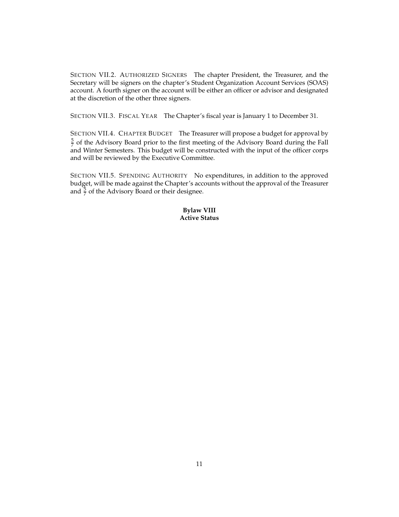SECTION VII.2. AUTHORIZED SIGNERS The chapter President, the Treasurer, and the Secretary will be signers on the chapter's Student Organization Account Services (SOAS) account. A fourth signer on the account will be either an officer or advisor and designated at the discretion of the other three signers.

<span id="page-15-1"></span><span id="page-15-0"></span>SECTION VII.3. FISCAL YEAR The Chapter's fiscal year is January 1 to December 31.

SECTION VII.4. CHAPTER BUDGET The Treasurer will propose a budget for approval by  $\frac{5}{7}$  of the Advisory Board prior to the first meeting of the Advisory Board during the Fall and Winter Semesters. This budget will be constructed with the input of the officer corps and will be reviewed by the Executive Committee.

<span id="page-15-3"></span><span id="page-15-2"></span>SECTION VII.5. SPENDING AUTHORITY No expenditures, in addition to the approved budget, will be made against the Chapter's accounts without the approval of the Treasurer and  $\frac{5}{7}$  of the Advisory Board or their designee.

> **Bylaw VIII Active Status**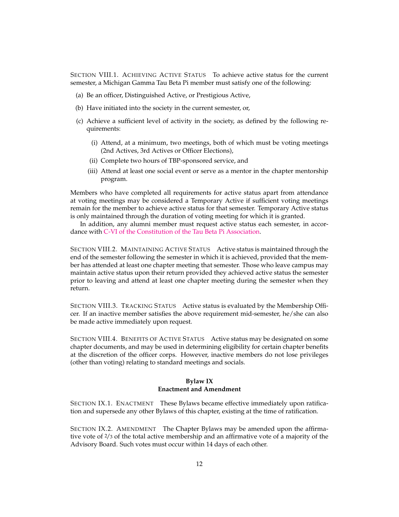<span id="page-16-0"></span>SECTION VIII.1. ACHIEVING ACTIVE STATUS To achieve active status for the current semester, a Michigan Gamma Tau Beta Pi member must satisfy one of the following:

- (a) Be an officer, Distinguished Active, or Prestigious Active,
- (b) Have initiated into the society in the current semester, or,
- (c) Achieve a sufficient level of activity in the society, as defined by the following requirements:
	- (i) Attend, at a minimum, two meetings, both of which must be voting meetings (2nd Actives, 3rd Actives or Officer Elections),
	- (ii) Complete two hours of TBP-sponsored service, and
	- (iii) Attend at least one social event or serve as a mentor in the chapter mentorship program.

Members who have completed all requirements for active status apart from attendance at voting meetings may be considered a Temporary Active if sufficient voting meetings remain for the member to achieve active status for that semester. Temporary Active status is only maintained through the duration of voting meeting for which it is granted.

<span id="page-16-1"></span>In addition, any alumni member must request active status each semester, in accordance with [C-VI of the Constitution of the Tau Beta Pi Association.](http://www.tbp.org/off/ConstBylaw.pdf)

SECTION VIII.2. MAINTAINING ACTIVE STATUS Active status is maintained through the end of the semester following the semester in which it is achieved, provided that the member has attended at least one chapter meeting that semester. Those who leave campus may maintain active status upon their return provided they achieved active status the semester prior to leaving and attend at least one chapter meeting during the semester when they return.

<span id="page-16-2"></span>SECTION VIII.3. TRACKING STATUS Active status is evaluated by the Membership Officer. If an inactive member satisfies the above requirement mid-semester, he/she can also be made active immediately upon request.

<span id="page-16-4"></span><span id="page-16-3"></span>SECTION VIII.4. BENEFITS OF ACTIVE STATUS Active status may be designated on some chapter documents, and may be used in determining eligibility for certain chapter benefits at the discretion of the officer corps. However, inactive members do not lose privileges (other than voting) relating to standard meetings and socials.

## **Bylaw IX**

### **Enactment and Amendment**

<span id="page-16-5"></span>SECTION IX.1. ENACTMENT These Bylaws became effective immediately upon ratification and supersede any other Bylaws of this chapter, existing at the time of ratification.

<span id="page-16-7"></span><span id="page-16-6"></span>SECTION IX.2. AMENDMENT The Chapter Bylaws may be amended upon the affirmative vote of 2/3 of the total active membership and an affirmative vote of a majority of the Advisory Board. Such votes must occur within 14 days of each other.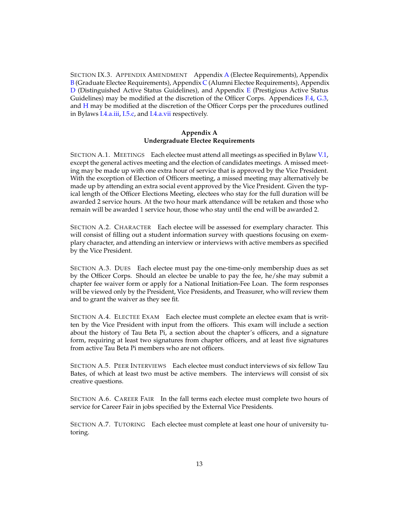SECTION IX.3. APPENDIX AMENDMENT Appendix [A](#page-17-0) (Electee Requirements), Appendix  $B$  (Graduate Electee Requirements), Appendix [C](#page-20-2) (Alumni Electee Requirements), Appendix  $D$  (Distinguished Active Status Guidelines), and Appendix [E](#page-23-0) (Prestigious Active Status Guidelines) may be modified at the discretion of the Officer Corps. Appendices [F.4,](#page-26-3) [G.3,](#page-27-1) and  $H$  may be modified at the discretion of the Officer Corps per the procedures outlined in Bylaws [I.4.a.iii,](#page-5-8) [I.5.c,](#page-6-8) and [I.4.a.vii](#page-6-0) respectively.

### **Appendix A Undergraduate Electee Requirements**

<span id="page-17-1"></span><span id="page-17-0"></span>SECTION A.1. MEETINGS Each electee must attend all meetings as specified in Bylaw [V.1,](#page-12-3) except the general actives meeting and the election of candidates meetings. A missed meeting may be made up with one extra hour of service that is approved by the Vice President. With the exception of Election of Officers meeting, a missed meeting may alternatively be made up by attending an extra social event approved by the Vice President. Given the typical length of the Officer Elections Meeting, electees who stay for the full duration will be awarded 2 service hours. At the two hour mark attendance will be retaken and those who remain will be awarded 1 service hour, those who stay until the end will be awarded 2.

<span id="page-17-2"></span>SECTION A.2. CHARACTER Each electee will be assessed for exemplary character. This will consist of filling out a student information survey with questions focusing on exemplary character, and attending an interview or interviews with active members as specified by the Vice President.

<span id="page-17-3"></span>SECTION A.3. DUES Each electee must pay the one-time-only membership dues as set by the Officer Corps. Should an electee be unable to pay the fee, he/she may submit a chapter fee waiver form or apply for a National Initiation-Fee Loan. The form responses will be viewed only by the President, Vice Presidents, and Treasurer, who will review them and to grant the waiver as they see fit.

<span id="page-17-4"></span>SECTION A.4. ELECTEE EXAM Each electee must complete an electee exam that is written by the Vice President with input from the officers. This exam will include a section about the history of Tau Beta Pi, a section about the chapter's officers, and a signature form, requiring at least two signatures from chapter officers, and at least five signatures from active Tau Beta Pi members who are not officers.

<span id="page-17-5"></span>SECTION A.5. PEER INTERVIEWS Each electee must conduct interviews of six fellow Tau Bates, of which at least two must be active members. The interviews will consist of six creative questions.

<span id="page-17-6"></span>SECTION A.6. CAREER FAIR In the fall terms each electee must complete two hours of service for Career Fair in jobs specified by the External Vice Presidents.

<span id="page-17-8"></span><span id="page-17-7"></span>SECTION A.7. TUTORING Each electee must complete at least one hour of university tutoring.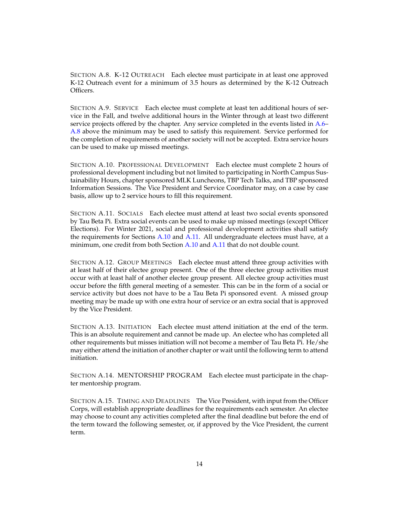SECTION A.8. K-12 OUTREACH Each electee must participate in at least one approved K-12 Outreach event for a minimum of 3.5 hours as determined by the K-12 Outreach Officers.

<span id="page-18-0"></span>SECTION A.9. SERVICE Each electee must complete at least ten additional hours of service in the Fall, and twelve additional hours in the Winter through at least two different service projects offered by the chapter. Any service completed in the events listed in [A.6–](#page-17-6) [A.8](#page-17-8) above the minimum may be used to satisfy this requirement. Service performed for the completion of requirements of another society will not be accepted. Extra service hours can be used to make up missed meetings.

<span id="page-18-1"></span>SECTION A.10. PROFESSIONAL DEVELOPMENT Each electee must complete 2 hours of professional development including but not limited to participating in North Campus Sustainability Hours, chapter sponsored MLK Luncheons, TBP Tech Talks, and TBP sponsored Information Sessions. The Vice President and Service Coordinator may, on a case by case basis, allow up to 2 service hours to fill this requirement.

<span id="page-18-2"></span>SECTION A.11. SOCIALS Each electee must attend at least two social events sponsored by Tau Beta Pi. Extra social events can be used to make up missed meetings (except Officer Elections). For Winter 2021, social and professional development activities shall satisfy the requirements for Sections  $A.10$  and  $A.11$ . All undergraduate electees must have, at a minimum, one credit from both Section  $A.10$  and  $A.11$  that do not double count.

<span id="page-18-3"></span>SECTION A.12. GROUP MEETINGS Each electee must attend three group activities with at least half of their electee group present. One of the three electee group activities must occur with at least half of another electee group present. All electee group activities must occur before the fifth general meeting of a semester. This can be in the form of a social or service activity but does not have to be a Tau Beta Pi sponsored event. A missed group meeting may be made up with one extra hour of service or an extra social that is approved by the Vice President.

<span id="page-18-4"></span>SECTION A.13. INITIATION Each electee must attend initiation at the end of the term. This is an absolute requirement and cannot be made up. An electee who has completed all other requirements but misses initiation will not become a member of Tau Beta Pi. He/she may either attend the initiation of another chapter or wait until the following term to attend initiation.

<span id="page-18-5"></span>SECTION A.14. MENTORSHIP PROGRAM Each electee must participate in the chapter mentorship program.

<span id="page-18-7"></span><span id="page-18-6"></span>SECTION A.15. TIMING AND DEADLINES The Vice President, with input from the Officer Corps, will establish appropriate deadlines for the requirements each semester. An electee may choose to count any activities completed after the final deadline but before the end of the term toward the following semester, or, if approved by the Vice President, the current term.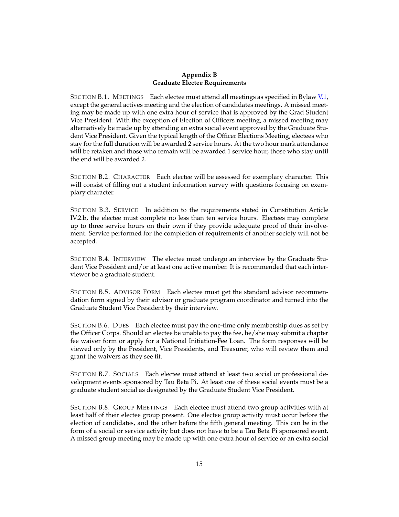### **Appendix B Graduate Electee Requirements**

<span id="page-19-0"></span>SECTION B.1. MEETINGS Each electee must attend all meetings as specified in Bylaw [V.1,](#page-12-3) except the general actives meeting and the election of candidates meetings. A missed meeting may be made up with one extra hour of service that is approved by the Grad Student Vice President. With the exception of Election of Officers meeting, a missed meeting may alternatively be made up by attending an extra social event approved by the Graduate Student Vice President. Given the typical length of the Officer Elections Meeting, electees who stay for the full duration will be awarded 2 service hours. At the two hour mark attendance will be retaken and those who remain will be awarded 1 service hour, those who stay until the end will be awarded 2.

<span id="page-19-1"></span>SECTION B.2. CHARACTER Each electee will be assessed for exemplary character. This will consist of filling out a student information survey with questions focusing on exemplary character.

<span id="page-19-2"></span>SECTION B.3. SERVICE In addition to the requirements stated in Constitution Article IV.2.b, the electee must complete no less than ten service hours. Electees may complete up to three service hours on their own if they provide adequate proof of their involvement. Service performed for the completion of requirements of another society will not be accepted.

<span id="page-19-3"></span>SECTION B.4. INTERVIEW The electee must undergo an interview by the Graduate Student Vice President and/or at least one active member. It is recommended that each interviewer be a graduate student.

<span id="page-19-4"></span>SECTION B.5. ADVISOR FORM Each electee must get the standard advisor recommendation form signed by their advisor or graduate program coordinator and turned into the Graduate Student Vice President by their interview.

<span id="page-19-5"></span>SECTION B.6. DUES Each electee must pay the one-time only membership dues as set by the Officer Corps. Should an electee be unable to pay the fee, he/she may submit a chapter fee waiver form or apply for a National Initiation-Fee Loan. The form responses will be viewed only by the President, Vice Presidents, and Treasurer, who will review them and grant the waivers as they see fit.

<span id="page-19-6"></span>SECTION B.7. SOCIALS Each electee must attend at least two social or professional development events sponsored by Tau Beta Pi. At least one of these social events must be a graduate student social as designated by the Graduate Student Vice President.

<span id="page-19-7"></span>SECTION B.8. GROUP MEETINGS Each electee must attend two group activities with at least half of their electee group present. One electee group activity must occur before the election of candidates, and the other before the fifth general meeting. This can be in the form of a social or service activity but does not have to be a Tau Beta Pi sponsored event. A missed group meeting may be made up with one extra hour of service or an extra social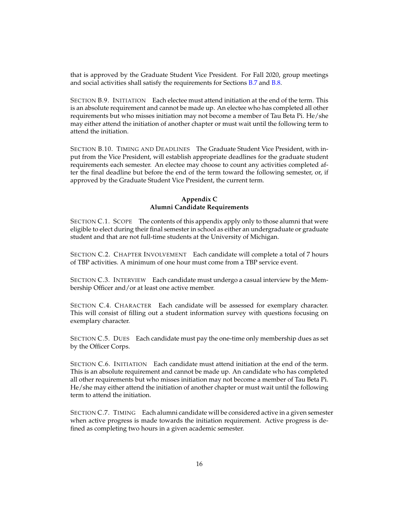that is approved by the Graduate Student Vice President. For Fall 2020, group meetings and social activities shall satisfy the requirements for Sections [B.7](#page-19-6) and [B.8.](#page-19-7)

<span id="page-20-0"></span>SECTION B.9. INITIATION Each electee must attend initiation at the end of the term. This is an absolute requirement and cannot be made up. An electee who has completed all other requirements but who misses initiation may not become a member of Tau Beta Pi. He/she may either attend the initiation of another chapter or must wait until the following term to attend the initiation.

<span id="page-20-1"></span>SECTION B.10. TIMING AND DEADLINES The Graduate Student Vice President, with input from the Vice President, will establish appropriate deadlines for the graduate student requirements each semester. An electee may choose to count any activities completed after the final deadline but before the end of the term toward the following semester, or, if approved by the Graduate Student Vice President, the current term.

### **Appendix C Alumni Candidate Requirements**

<span id="page-20-3"></span><span id="page-20-2"></span>SECTION C.1. SCOPE The contents of this appendix apply only to those alumni that were eligible to elect during their final semester in school as either an undergraduate or graduate student and that are not full-time students at the University of Michigan.

<span id="page-20-4"></span>SECTION C.2. CHAPTER INVOLVEMENT Each candidate will complete a total of 7 hours of TBP activities. A minimum of one hour must come from a TBP service event.

<span id="page-20-5"></span>SECTION C.3. INTERVIEW Each candidate must undergo a casual interview by the Membership Officer and/or at least one active member.

<span id="page-20-6"></span>SECTION C.4. CHARACTER Each candidate will be assessed for exemplary character. This will consist of filling out a student information survey with questions focusing on exemplary character.

<span id="page-20-7"></span>SECTION C.5. DUES Each candidate must pay the one-time only membership dues as set by the Officer Corps.

<span id="page-20-8"></span>SECTION C.6. INITIATION Each candidate must attend initiation at the end of the term. This is an absolute requirement and cannot be made up. An candidate who has completed all other requirements but who misses initiation may not become a member of Tau Beta Pi. He/she may either attend the initiation of another chapter or must wait until the following term to attend the initiation.

<span id="page-20-10"></span><span id="page-20-9"></span>SECTION C.7. TIMING Each alumni candidate will be considered active in a given semester when active progress is made towards the initiation requirement. Active progress is defined as completing two hours in a given academic semester.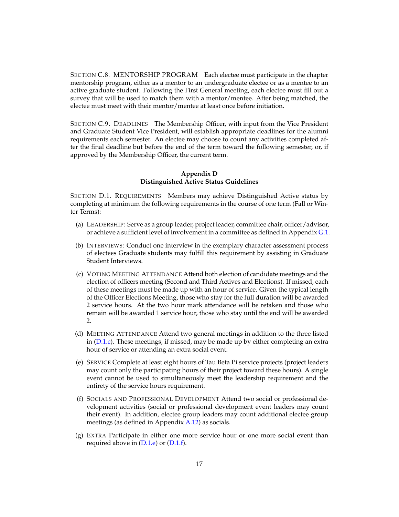SECTION C.8. MENTORSHIP PROGRAM Each electee must participate in the chapter mentorship program, either as a mentor to an undergraduate electee or as a mentee to an active graduate student. Following the First General meeting, each electee must fill out a survey that will be used to match them with a mentor/mentee. After being matched, the electee must meet with their mentor/mentee at least once before initiation.

<span id="page-21-0"></span>SECTION C.9. DEADLINES The Membership Officer, with input from the Vice President and Graduate Student Vice President, will establish appropriate deadlines for the alumni requirements each semester. An electee may choose to count any activities completed after the final deadline but before the end of the term toward the following semester, or, if approved by the Membership Officer, the current term.

### **Appendix D Distinguished Active Status Guidelines**

<span id="page-21-2"></span><span id="page-21-1"></span>SECTION D.1. REQUIREMENTS Members may achieve Distinguished Active status by completing at minimum the following requirements in the course of one term (Fall or Winter Terms):

- <span id="page-21-3"></span>(a) LEADERSHIP: Serve as a group leader, project leader, committee chair, officer/advisor, or achieve a sufficient level of involvement in a committee as defined in Appendix [G.1.](#page-26-5)
- <span id="page-21-4"></span>(b) INTERVIEWS: Conduct one interview in the exemplary character assessment process of electees Graduate students may fulfill this requirement by assisting in Graduate Student Interviews.
- <span id="page-21-5"></span>(c) VOTING MEETING ATTENDANCE Attend both election of candidate meetings and the election of officers meeting (Second and Third Actives and Elections). If missed, each of these meetings must be made up with an hour of service. Given the typical length of the Officer Elections Meeting, those who stay for the full duration will be awarded 2 service hours. At the two hour mark attendance will be retaken and those who remain will be awarded 1 service hour, those who stay until the end will be awarded 2.
- <span id="page-21-6"></span>(d) MEETING ATTENDANCE Attend two general meetings in addition to the three listed in [\(D.1.c\)](#page-21-5). These meetings, if missed, may be made up by either completing an extra hour of service or attending an extra social event.
- <span id="page-21-7"></span>(e) SERVICE Complete at least eight hours of Tau Beta Pi service projects (project leaders may count only the participating hours of their project toward these hours). A single event cannot be used to simultaneously meet the leadership requirement and the entirety of the service hours requirement.
- <span id="page-21-8"></span>(f) SOCIALS AND PROFESSIONAL DEVELOPMENT Attend two social or professional development activities (social or professional development event leaders may count their event). In addition, electee group leaders may count additional electee group meetings (as defined in Appendix [A.12\)](#page-18-3) as socials.
- <span id="page-21-10"></span><span id="page-21-9"></span>(g) EXTRA Participate in either one more service hour or one more social event than required above in  $(D.1.e)$  or  $(D.1.f)$ .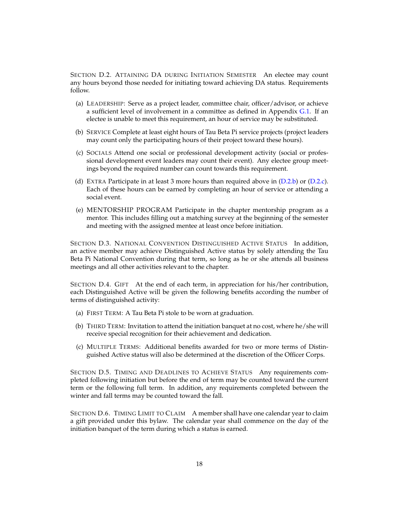SECTION D.2. ATTAINING DA DURING INITIATION SEMESTER An electee may count any hours beyond those needed for initiating toward achieving DA status. Requirements follow.

- <span id="page-22-0"></span>(a) LEADERSHIP: Serve as a project leader, committee chair, officer/advisor, or achieve a sufficient level of involvement in a committee as defined in Appendix [G.1.](#page-26-5) If an electee is unable to meet this requirement, an hour of service may be substituted.
- <span id="page-22-1"></span>(b) SERVICE Complete at least eight hours of Tau Beta Pi service projects (project leaders may count only the participating hours of their project toward these hours).
- <span id="page-22-2"></span>(c) SOCIALS Attend one social or professional development activity (social or professional development event leaders may count their event). Any electee group meetings beyond the required number can count towards this requirement.
- <span id="page-22-3"></span>(d) EXTRA Participate in at least 3 more hours than required above in [\(D.2.b\)](#page-22-1) or [\(D.2.c\)](#page-22-2). Each of these hours can be earned by completing an hour of service or attending a social event.
- <span id="page-22-4"></span>(e) MENTORSHIP PROGRAM Participate in the chapter mentorship program as a mentor. This includes filling out a matching survey at the beginning of the semester and meeting with the assigned mentee at least once before initiation.

<span id="page-22-5"></span>SECTION D.3. NATIONAL CONVENTION DISTINGUISHED ACTIVE STATUS In addition, an active member may achieve Distinguished Active status by solely attending the Tau Beta Pi National Convention during that term, so long as he or she attends all business meetings and all other activities relevant to the chapter.

<span id="page-22-6"></span>SECTION D.4. GIFT At the end of each term, in appreciation for his/her contribution, each Distinguished Active will be given the following benefits according the number of terms of distinguished activity:

- <span id="page-22-7"></span>(a) FIRST TERM: A Tau Beta Pi stole to be worn at graduation.
- <span id="page-22-8"></span>(b) THIRD TERM: Invitation to attend the initiation banquet at no cost, where he/she will receive special recognition for their achievement and dedication.
- <span id="page-22-9"></span>(c) MULTIPLE TERMS: Additional benefits awarded for two or more terms of Distinguished Active status will also be determined at the discretion of the Officer Corps.

<span id="page-22-10"></span>SECTION D.5. TIMING AND DEADLINES TO ACHIEVE STATUS Any requirements completed following initiation but before the end of term may be counted toward the current term or the following full term. In addition, any requirements completed between the winter and fall terms may be counted toward the fall.

<span id="page-22-12"></span><span id="page-22-11"></span>SECTION D.6. TIMING LIMIT TO CLAIM A member shall have one calendar year to claim a gift provided under this bylaw. The calendar year shall commence on the day of the initiation banquet of the term during which a status is earned.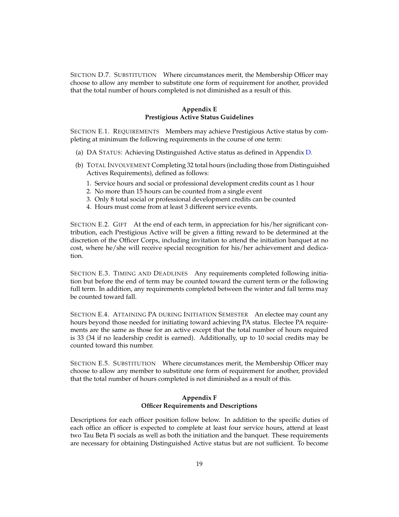<span id="page-23-0"></span>SECTION D.7. SUBSTITUTION Where circumstances merit, the Membership Officer may choose to allow any member to substitute one form of requirement for another, provided that the total number of hours completed is not diminished as a result of this.

### **Appendix E Prestigious Active Status Guidelines**

<span id="page-23-1"></span>SECTION E.1. REQUIREMENTS Members may achieve Prestigious Active status by completing at minimum the following requirements in the course of one term:

- <span id="page-23-2"></span>(a) DA STATUS: Achieving Distinguished Active status as defined in Appendix [D.](#page-21-1)
- <span id="page-23-3"></span>(b) TOTAL INVOLVEMENT Completing 32 total hours (including those from Distinguished Actives Requirements), defined as follows:
	- 1. Service hours and social or professional development credits count as 1 hour
	- 2. No more than 15 hours can be counted from a single event
	- 3. Only 8 total social or professional development credits can be counted
	- 4. Hours must come from at least 3 different service events.

<span id="page-23-4"></span>SECTION E.2. GIFT At the end of each term, in appreciation for his/her significant contribution, each Prestigious Active will be given a fitting reward to be determined at the discretion of the Officer Corps, including invitation to attend the initiation banquet at no cost, where he/she will receive special recognition for his/her achievement and dedication.

<span id="page-23-5"></span>SECTION E.3. TIMING AND DEADLINES Any requirements completed following initiation but before the end of term may be counted toward the current term or the following full term. In addition, any requirements completed between the winter and fall terms may be counted toward fall.

<span id="page-23-6"></span>SECTION E.4. ATTAINING PA DURING INITIATION SEMESTER An electee may count any hours beyond those needed for initiating toward achieving PA status. Electee PA requirements are the same as those for an active except that the total number of hours required is 33 (34 if no leadership credit is earned). Additionally, up to 10 social credits may be counted toward this number.

<span id="page-23-8"></span><span id="page-23-7"></span>SECTION E.5. SUBSTITUTION Where circumstances merit, the Membership Officer may choose to allow any member to substitute one form of requirement for another, provided that the total number of hours completed is not diminished as a result of this.

### **Appendix F Officer Requirements and Descriptions**

Descriptions for each officer position follow below. In addition to the specific duties of each office an officer is expected to complete at least four service hours, attend at least two Tau Beta Pi socials as well as both the initiation and the banquet. These requirements are necessary for obtaining Distinguished Active status but are not sufficient. To become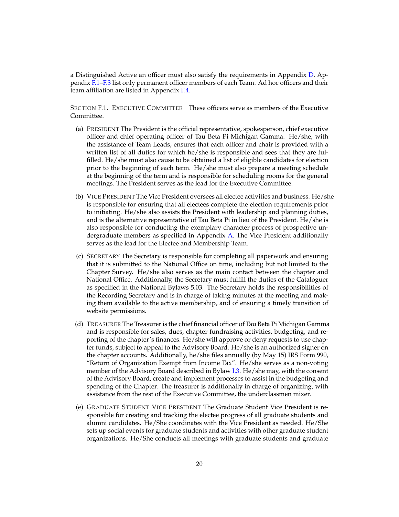a Distinguished Active an officer must also satisfy the requirements in Appendix [D.](#page-21-1) Appendix [F.1](#page-24-0)[–F.3](#page-25-7) list only permanent officer members of each Team. Ad hoc officers and their team affiliation are listed in Appendix [F.4.](#page-26-3)

<span id="page-24-0"></span>SECTION F.1. EXECUTIVE COMMITTEE These officers serve as members of the Executive Committee.

- <span id="page-24-1"></span>(a) PRESIDENT The President is the official representative, spokesperson, chief executive officer and chief operating officer of Tau Beta Pi Michigan Gamma. He/she, with the assistance of Team Leads, ensures that each officer and chair is provided with a written list of all duties for which he/she is responsible and sees that they are fulfilled. He/she must also cause to be obtained a list of eligible candidates for election prior to the beginning of each term. He/she must also prepare a meeting schedule at the beginning of the term and is responsible for scheduling rooms for the general meetings. The President serves as the lead for the Executive Committee.
- <span id="page-24-2"></span>(b) VICE PRESIDENT The Vice President oversees all electee activities and business. He/she is responsible for ensuring that all electees complete the election requirements prior to initiating. He/she also assists the President with leadership and planning duties, and is the alternative representative of Tau Beta Pi in lieu of the President. He/she is also responsible for conducting the exemplary character process of prospective undergraduate members as specified in Appendix [A.](#page-17-0) The Vice President additionally serves as the lead for the Electee and Membership Team.
- <span id="page-24-3"></span>(c) SECRETARY The Secretary is responsible for completing all paperwork and ensuring that it is submitted to the National Office on time, including but not limited to the Chapter Survey. He/she also serves as the main contact between the chapter and National Office. Additionally, the Secretary must fulfill the duties of the Cataloguer as specified in the National Bylaws 5.03. The Secretary holds the responsibilities of the Recording Secretary and is in charge of taking minutes at the meeting and making them available to the active membership, and of ensuring a timely transition of website permissions.
- <span id="page-24-4"></span>(d) TREASURER The Treasurer is the chief financial officer of Tau Beta Pi Michigan Gamma and is responsible for sales, dues, chapter fundraising activities, budgeting, and reporting of the chapter's finances. He/she will approve or deny requests to use chapter funds, subject to appeal to the Advisory Board. He/she is an authorized signer on the chapter accounts. Additionally, he/she files annually (by May 15) IRS Form 990, "Return of Organization Exempt from Income Tax". He/she serves as a non-voting member of the Advisory Board described in Bylaw [I.3.](#page-5-3) He/she may, with the consent of the Advisory Board, create and implement processes to assist in the budgeting and spending of the Chapter. The treasurer is additionally in charge of organizing, with assistance from the rest of the Executive Committee, the underclassmen mixer.
- <span id="page-24-5"></span>(e) GRADUATE STUDENT VICE PRESIDENT The Graduate Student Vice President is responsible for creating and tracking the electee progress of all graduate students and alumni candidates. He/She coordinates with the Vice President as needed. He/She sets up social events for graduate students and activities with other graduate student organizations. He/She conducts all meetings with graduate students and graduate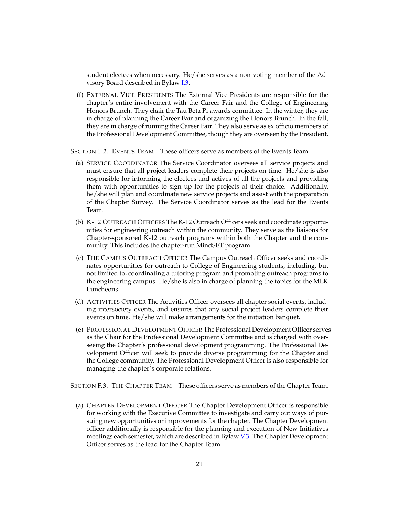student electees when necessary. He/she serves as a non-voting member of the Advisory Board described in Bylaw [I.3.](#page-5-3)

<span id="page-25-0"></span>(f) EXTERNAL VICE PRESIDENTS The External Vice Presidents are responsible for the chapter's entire involvement with the Career Fair and the College of Engineering Honors Brunch. They chair the Tau Beta Pi awards committee. In the winter, they are in charge of planning the Career Fair and organizing the Honors Brunch. In the fall, they are in charge of running the Career Fair. They also serve as ex officio members of the Professional Development Committee, though they are overseen by the President.

<span id="page-25-1"></span>SECTION F.2. EVENTS TEAM These officers serve as members of the Events Team.

- <span id="page-25-2"></span>(a) SERVICE COORDINATOR The Service Coordinator oversees all service projects and must ensure that all project leaders complete their projects on time. He/she is also responsible for informing the electees and actives of all the projects and providing them with opportunities to sign up for the projects of their choice. Additionally, he/she will plan and coordinate new service projects and assist with the preparation of the Chapter Survey. The Service Coordinator serves as the lead for the Events Team.
- <span id="page-25-3"></span>(b) K-12 OUTREACH OFFICERS The K-12 Outreach Officers seek and coordinate opportunities for engineering outreach within the community. They serve as the liaisons for Chapter-sponsored K-12 outreach programs within both the Chapter and the community. This includes the chapter-run MindSET program.
- <span id="page-25-4"></span>(c) THE CAMPUS OUTREACH OFFICER The Campus Outreach Officer seeks and coordinates opportunities for outreach to College of Engineering students, including, but not limited to, coordinating a tutoring program and promoting outreach programs to the engineering campus. He/she is also in charge of planning the topics for the MLK Luncheons.
- <span id="page-25-5"></span>(d) ACTIVITIES OFFICER The Activities Officer oversees all chapter social events, including intersociety events, and ensures that any social project leaders complete their events on time. He/she will make arrangements for the initiation banquet.
- <span id="page-25-6"></span>(e) PROFESSIONAL DEVELOPMENT OFFICER The Professional Development Officer serves as the Chair for the Professional Development Committee and is charged with overseeing the Chapter's professional development programming. The Professional Development Officer will seek to provide diverse programming for the Chapter and the College community. The Professional Development Officer is also responsible for managing the chapter's corporate relations.

<span id="page-25-7"></span>SECTION F.3. THE CHAPTER TEAM These officers serve as members of the Chapter Team.

<span id="page-25-8"></span>(a) CHAPTER DEVELOPMENT OFFICER The Chapter Development Officer is responsible for working with the Executive Committee to investigate and carry out ways of pursuing new opportunities or improvements for the chapter. The Chapter Development officer additionally is responsible for the planning and execution of New Initiatives meetings each semester, which are described in Bylaw [V.3.](#page-12-5) The Chapter Development Officer serves as the lead for the Chapter Team.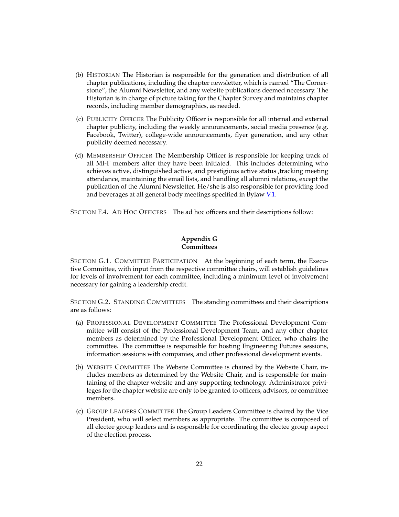- <span id="page-26-0"></span>(b) HISTORIAN The Historian is responsible for the generation and distribution of all chapter publications, including the chapter newsletter, which is named "The Cornerstone", the Alumni Newsletter, and any website publications deemed necessary. The Historian is in charge of picture taking for the Chapter Survey and maintains chapter records, including member demographics, as needed.
- <span id="page-26-1"></span>(c) PUBLICITY OFFICER The Publicity Officer is responsible for all internal and external chapter publicity, including the weekly announcements, social media presence (e.g. Facebook, Twitter), college-wide announcements, flyer generation, and any other publicity deemed necessary.
- <span id="page-26-2"></span>(d) MEMBERSHIP OFFICER The Membership Officer is responsible for keeping track of all MI-Γ members after they have been initiated. This includes determining who achieves active, distinguished active, and prestigious active status , tracking meeting attendance, maintaining the email lists, and handling all alumni relations, except the publication of the Alumni Newsletter. He/she is also responsible for providing food and beverages at all general body meetings specified in Bylaw [V.1.](#page-12-3)

<span id="page-26-4"></span><span id="page-26-3"></span>SECTION F.4. AD HOC OFFICERS The ad hoc officers and their descriptions follow:

### **Appendix G Committees**

<span id="page-26-5"></span>SECTION G.1. COMMITTEE PARTICIPATION At the beginning of each term, the Executive Committee, with input from the respective committee chairs, will establish guidelines for levels of involvement for each committee, including a minimum level of involvement necessary for gaining a leadership credit.

<span id="page-26-6"></span>SECTION G.2. STANDING COMMITTEES The standing committees and their descriptions are as follows:

- <span id="page-26-7"></span>(a) PROFESSIONAL DEVELOPMENT COMMITTEE The Professional Development Committee will consist of the Professional Development Team, and any other chapter members as determined by the Professional Development Officer, who chairs the committee. The committee is responsible for hosting Engineering Futures sessions, information sessions with companies, and other professional development events.
- <span id="page-26-8"></span>(b) WEBSITE COMMITTEE The Website Committee is chaired by the Website Chair, includes members as determined by the Website Chair, and is responsible for maintaining of the chapter website and any supporting technology. Administrator privileges for the chapter website are only to be granted to officers, advisors, or committee members.
- <span id="page-26-9"></span>(c) GROUP LEADERS COMMITTEE The Group Leaders Committee is chaired by the Vice President, who will select members as appropriate. The committee is composed of all electee group leaders and is responsible for coordinating the electee group aspect of the election process.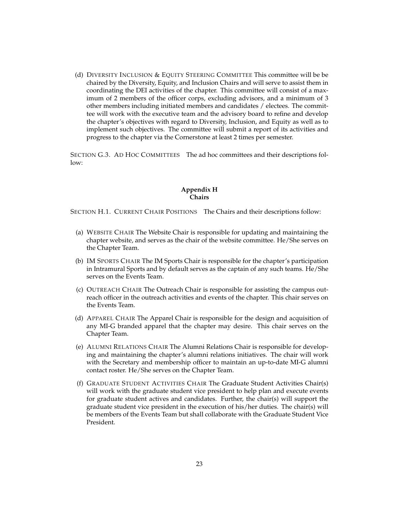<span id="page-27-0"></span>(d) DIVERSITY INCLUSION & EQUITY STEERING COMMITTEE This committee will be be chaired by the Diversity, Equity, and Inclusion Chairs and will serve to assist them in coordinating the DEI activities of the chapter. This committee will consist of a maximum of 2 members of the officer corps, excluding advisors, and a minimum of 3 other members including initiated members and candidates / electees. The committee will work with the executive team and the advisory board to refine and develop the chapter's objectives with regard to Diversity, Inclusion, and Equity as well as to implement such objectives. The committee will submit a report of its activities and progress to the chapter via the Cornerstone at least 2 times per semester.

<span id="page-27-2"></span><span id="page-27-1"></span>SECTION G.3. AD HOC COMMITTEES The ad hoc committees and their descriptions follow:

### **Appendix H Chairs**

<span id="page-27-3"></span>SECTION H.1. CURRENT CHAIR POSITIONS The Chairs and their descriptions follow:

- <span id="page-27-4"></span>(a) WEBSITE CHAIR The Website Chair is responsible for updating and maintaining the chapter website, and serves as the chair of the website committee. He/She serves on the Chapter Team.
- <span id="page-27-5"></span>(b) IM SPORTS CHAIR The IM Sports Chair is responsible for the chapter's participation in Intramural Sports and by default serves as the captain of any such teams. He/She serves on the Events Team.
- <span id="page-27-6"></span>(c) OUTREACH CHAIR The Outreach Chair is responsible for assisting the campus outreach officer in the outreach activities and events of the chapter. This chair serves on the Events Team.
- <span id="page-27-7"></span>(d) APPAREL CHAIR The Apparel Chair is responsible for the design and acquisition of any MI-G branded apparel that the chapter may desire. This chair serves on the Chapter Team.
- <span id="page-27-8"></span>(e) ALUMNI RELATIONS CHAIR The Alumni Relations Chair is responsible for developing and maintaining the chapter's alumni relations initiatives. The chair will work with the Secretary and membership officer to maintain an up-to-date MI-G alumni contact roster. He/She serves on the Chapter Team.
- <span id="page-27-9"></span>(f) GRADUATE STUDENT ACTIVITIES CHAIR The Graduate Student Activities Chair(s) will work with the graduate student vice president to help plan and execute events for graduate student actives and candidates. Further, the chair(s) will support the graduate student vice president in the execution of his/her duties. The chair(s) will be members of the Events Team but shall collaborate with the Graduate Student Vice President.